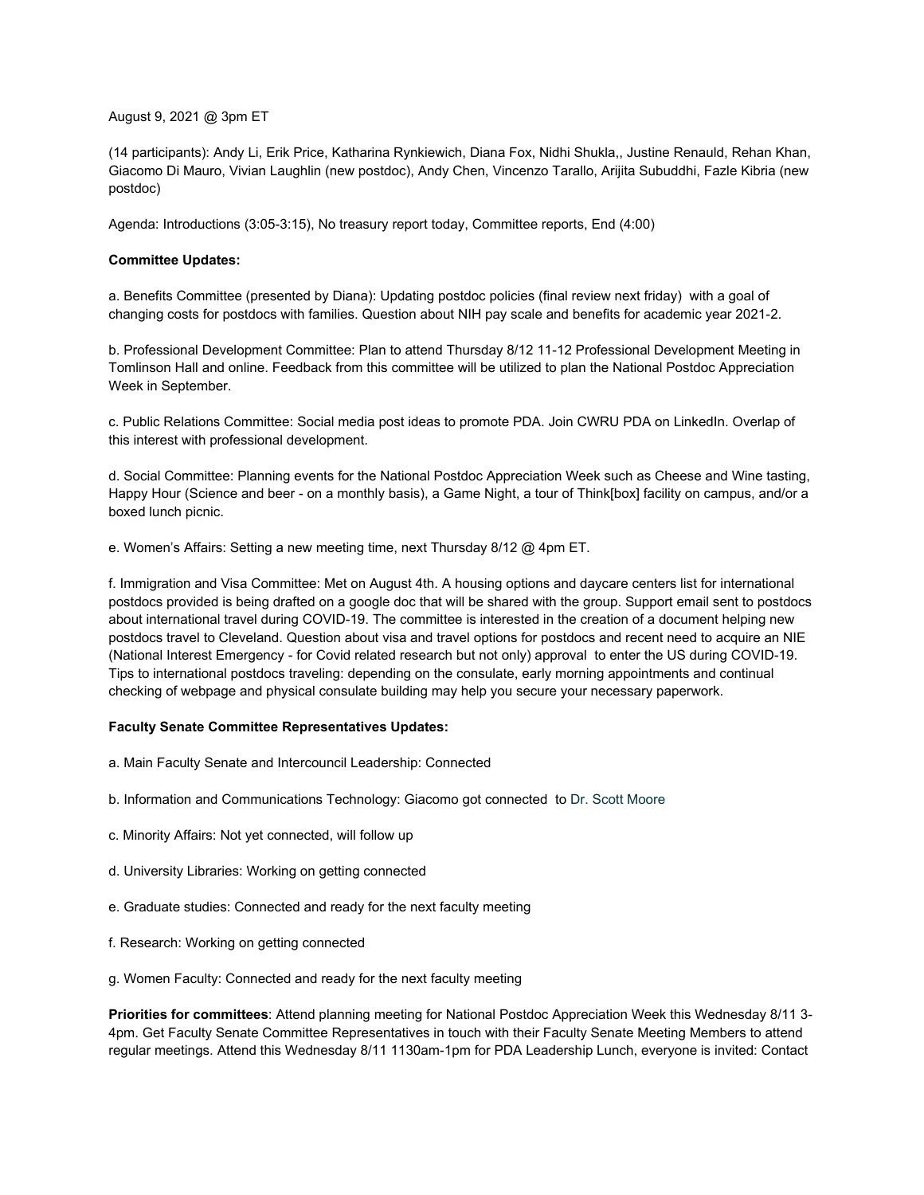August 9, 2021 @ 3pm ET

(14 participants): Andy Li, Erik Price, Katharina Rynkiewich, Diana Fox, Nidhi Shukla,, Justine Renauld, Rehan Khan, Giacomo Di Mauro, Vivian Laughlin (new postdoc), Andy Chen, Vincenzo Tarallo, Arijita Subuddhi, Fazle Kibria (new postdoc)

Agenda: Introductions (3:05-3:15), No treasury report today, Committee reports, End (4:00)

## **Committee Updates:**

a. Benefits Committee (presented by Diana): Updating postdoc policies (final review next friday) with a goal of changing costs for postdocs with families. Question about NIH pay scale and benefits for academic year 2021-2.

b. Professional Development Committee: Plan to attend Thursday 8/12 11-12 Professional Development Meeting in Tomlinson Hall and online. Feedback from this committee will be utilized to plan the National Postdoc Appreciation Week in September.

c. Public Relations Committee: Social media post ideas to promote PDA. Join CWRU PDA on LinkedIn. Overlap of this interest with professional development.

d. Social Committee: Planning events for the National Postdoc Appreciation Week such as Cheese and Wine tasting, Happy Hour (Science and beer - on a monthly basis), a Game Night, a tour of Think[box] facility on campus, and/or a boxed lunch picnic.

e. Women's Affairs: Setting a new meeting time, next Thursday 8/12 @ 4pm ET.

f. Immigration and Visa Committee: Met on August 4th. A housing options and daycare centers list for international postdocs provided is being drafted on a google doc that will be shared with the group. Support email sent to postdocs about international travel during COVID-19. The committee is interested in the creation of a document helping new postdocs travel to Cleveland. Question about visa and travel options for postdocs and recent need to acquire an NIE (National Interest Emergency - for Covid related research but not only) approval to enter the US during COVID-19. Tips to international postdocs traveling: depending on the consulate, early morning appointments and continual checking of webpage and physical consulate building may help you secure your necessary paperwork.

## **Faculty Senate Committee Representatives Updates:**

- a. Main Faculty Senate and Intercouncil Leadership: Connected
- b. Information and Communications Technology: Giacomo got connected to Dr. Scott Moore
- c. Minority Affairs: Not yet connected, will follow up
- d. University Libraries: Working on getting connected
- e. Graduate studies: Connected and ready for the next faculty meeting
- f. Research: Working on getting connected
- g. Women Faculty: Connected and ready for the next faculty meeting

**Priorities for committees**: Attend planning meeting for National Postdoc Appreciation Week this Wednesday 8/11 3- 4pm. Get Faculty Senate Committee Representatives in touch with their Faculty Senate Meeting Members to attend regular meetings. Attend this Wednesday 8/11 1130am-1pm for PDA Leadership Lunch, everyone is invited: Contact